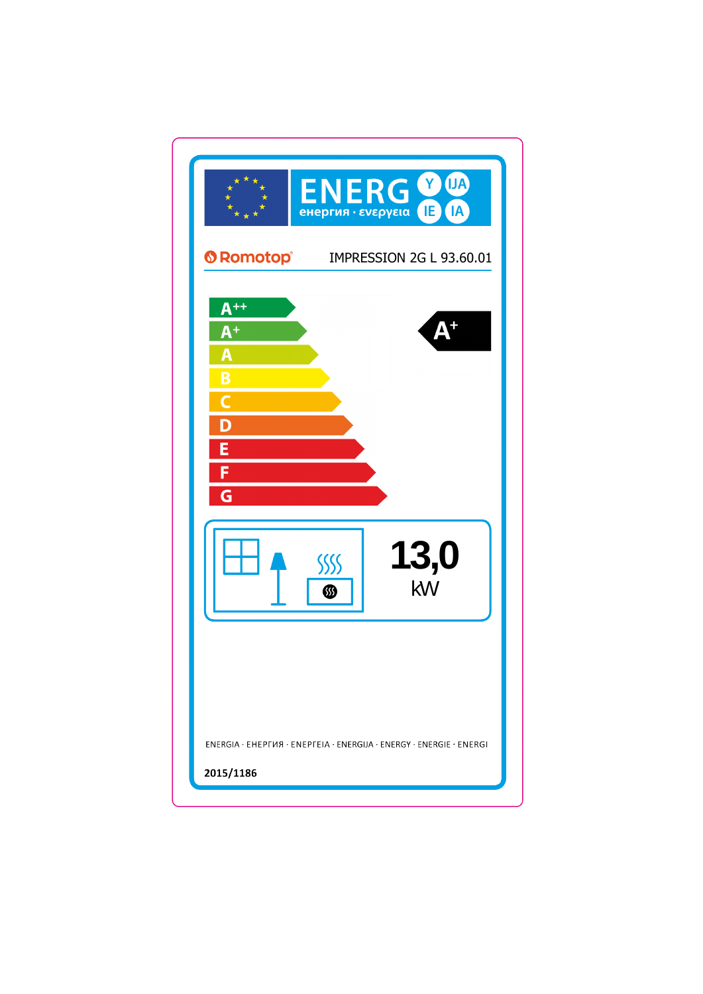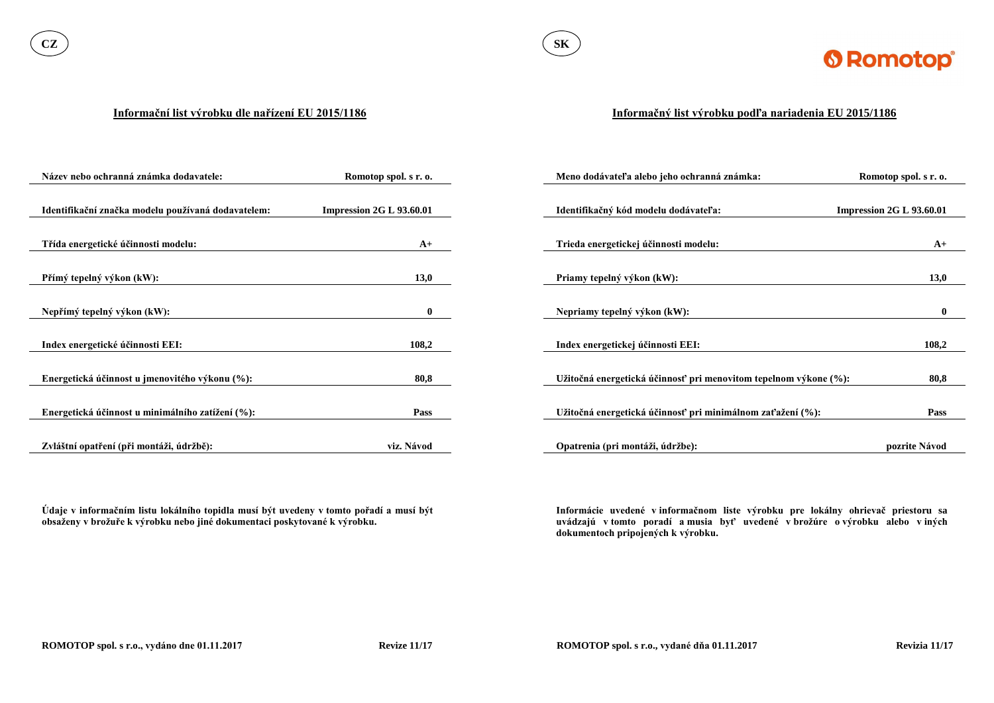

#### **Informační list výrobku dle nařízení EU 2015/1186**

**Údaje v informačním listu lokálního topidla musí být uvedeny v tomto pořadí a musí být obsaženy v brožuře k výrobku nebo jiné dokumentaci poskytované k výrobku.**

| Název nebo ochranná známka dodavatele:             | Romotop spol. s r. o.           | Meno dodávateľa alebo jeho ochranná známka:                      | Romotop spol. s r. o.           |
|----------------------------------------------------|---------------------------------|------------------------------------------------------------------|---------------------------------|
|                                                    |                                 |                                                                  |                                 |
| Identifikační značka modelu používaná dodavatelem: | <b>Impression 2G L 93.60.01</b> | Identifikačný kód modelu dodávateľa:                             | <b>Impression 2G L 93.60.01</b> |
|                                                    |                                 |                                                                  |                                 |
| Třída energetické účinnosti modelu:                | $A+$                            | Trieda energetickej účinnosti modelu:                            | $A+$                            |
|                                                    |                                 |                                                                  |                                 |
| Přímý tepelný výkon (kW):                          | 13,0                            | Priamy tepelný výkon (kW):                                       | 13,0                            |
|                                                    |                                 |                                                                  |                                 |
| Nepřímý tepelný výkon (kW):                        | $\mathbf{0}$                    | Nepriamy tepelný výkon (kW):                                     | $\mathbf{0}$                    |
|                                                    |                                 |                                                                  |                                 |
| Index energetické účinnosti EEI:                   | 108,2                           | Index energetickej účinnosti EEI:                                | 108,2                           |
|                                                    |                                 |                                                                  |                                 |
| Energetická účinnost u jmenovitého výkonu (%):     | 80,8                            | Užitočná energetická účinnosť pri menovitom tepelnom výkone (%): | 80,8                            |
|                                                    |                                 |                                                                  |                                 |
| Energetická účinnost u minimálního zatížení (%):   | <b>Pass</b>                     | Užitočná energetická účinnosť pri minimálnom zaťažení (%):       | <b>Pass</b>                     |
|                                                    |                                 |                                                                  |                                 |
| Zvláštní opatření (při montáži, údržbě):           | viz. Návod                      | Opatrenia (pri montáži, údržbe):                                 | pozrite Návod                   |

### **Informačný list výrobku podľa nariadenia EU 2015/1186**

**Informácie uvedené v informačnom liste výrobku pre lokálny ohrievač priestoru sa uvádzajú v tomto poradí a musia byť uvedené v brožúre o výrobku alebo v iných dokumentoch pripojených k výrobku.**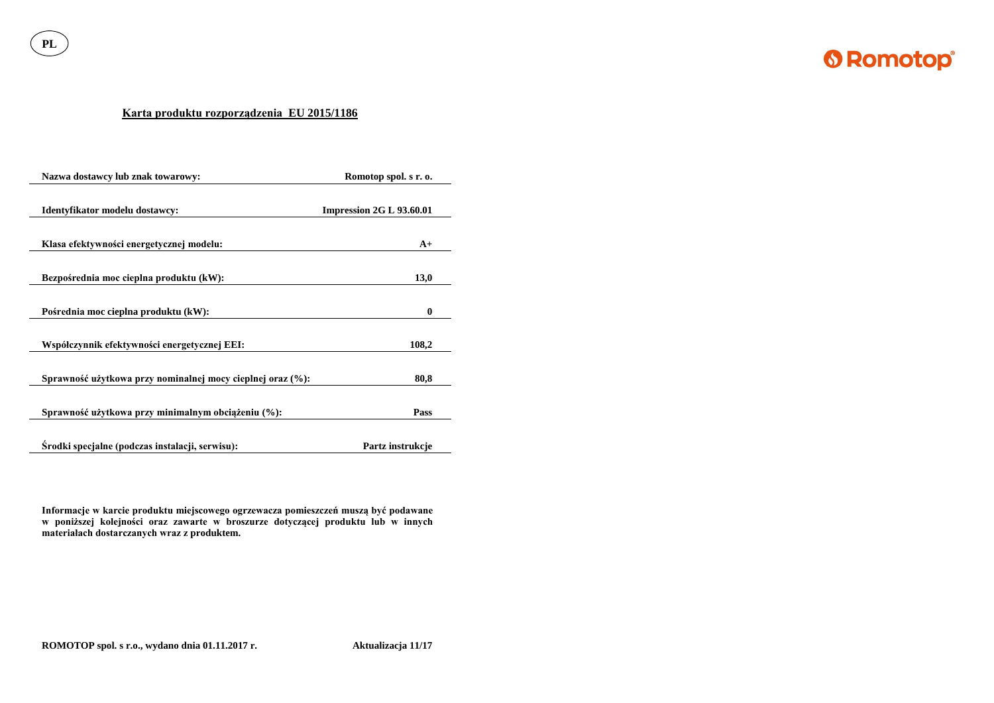**PL**



# **Karta produktu rozporządzenia EU 2015/1186**

| Nazwa dostawcy lub znak towarowy:                          | Romotop spol. s r. o.    |  |
|------------------------------------------------------------|--------------------------|--|
| Identyfikator modelu dostawcy:                             | Impression 2G L 93.60.01 |  |
| Klasa efektywności energetycznej modelu:                   | $A+$                     |  |
| Bezpośrednia moc cieplna produktu (kW):                    | 13,0                     |  |
| Pośrednia moc cieplna produktu (kW):                       | $\boldsymbol{0}$         |  |
| Współczynnik efektywności energetycznej EEI:               | 108,2                    |  |
| Sprawność użytkowa przy nominalnej mocy cieplnej oraz (%): | 80,8                     |  |
| Sprawność użytkowa przy minimalnym obciążeniu (%):         | <b>Pass</b>              |  |
| Srodki specjalne (podczas instalacji, serwisu):            | Partz instrukcje         |  |

**Informacje w karcie produktu miejscowego ogrzewacza pomieszczeń muszą być podawane w poniższej kolejności oraz zawarte w broszurze dotyczącej produktu lub w innych materiałach dostarczanych wraz z produktem.**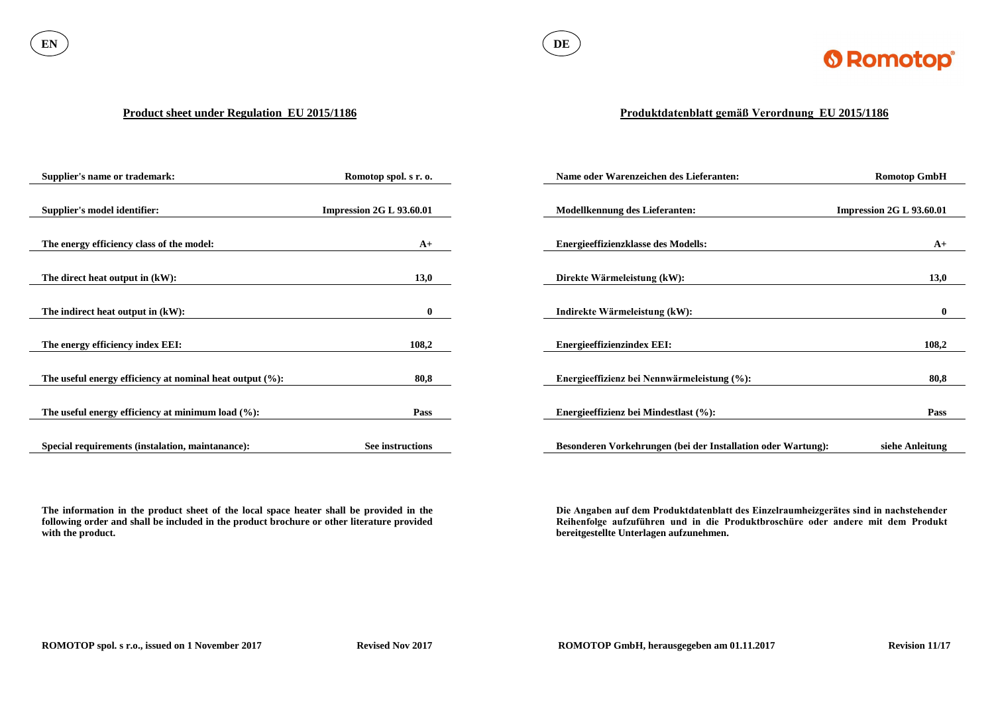

#### **Product sheet under Regulation EU 2015/1186**

**The information in the product sheet of the local space heater shall be provided in the following order and shall be included in the product brochure or other literature provided with the product.**

| <b>Supplier's name or trademark:</b>                        | Romotop spol. s r. o.           | Name oder Warenzeichen des Lieferanten:                      | <b>Romotop GmbH</b>             |
|-------------------------------------------------------------|---------------------------------|--------------------------------------------------------------|---------------------------------|
|                                                             |                                 |                                                              |                                 |
| <b>Supplier's model identifier:</b>                         | <b>Impression 2G L 93.60.01</b> | <b>Modellkennung des Lieferanten:</b>                        | <b>Impression 2G L 93.60.01</b> |
|                                                             |                                 |                                                              |                                 |
| The energy efficiency class of the model:                   | $A+$                            | <b>Energieeffizienzklasse des Modells:</b>                   | $A+$                            |
|                                                             |                                 |                                                              |                                 |
| The direct heat output in $(kW)$ :                          | 13,0                            | Direkte Wärmeleistung (kW):                                  | 13,0                            |
|                                                             |                                 |                                                              |                                 |
| The indirect heat output in $(kW)$ :                        | $\bf{0}$                        | Indirekte Wärmeleistung (kW):                                | $\mathbf{0}$                    |
|                                                             |                                 |                                                              |                                 |
| The energy efficiency index EEI:                            | 108,2                           | <b>Energieeffizienzindex EEI:</b>                            | 108,2                           |
|                                                             |                                 |                                                              |                                 |
| The useful energy efficiency at nominal heat output $(\%):$ | 80,8                            | Energieeffizienz bei Nennwärmeleistung (%):                  | 80,8                            |
|                                                             |                                 |                                                              |                                 |
| The useful energy efficiency at minimum load $(\%):$        | Pass                            | Energieeffizienz bei Mindestlast (%):                        | <b>Pass</b>                     |
|                                                             |                                 |                                                              |                                 |
| Special requirements (instalation, maintanance):            | See instructions                | Besonderen Vorkehrungen (bei der Installation oder Wartung): | siehe Anleitung                 |

# **Produktdatenblatt gemäß Verordnung EU 2015/1186**

**Die Angaben auf dem Produktdatenblatt des Einzelraumheizgerätes sind in nachstehender Reihenfolge aufzuführen und in die Produktbroschüre oder andere mit dem Produkt bereitgestellte Unterlagen aufzunehmen.**